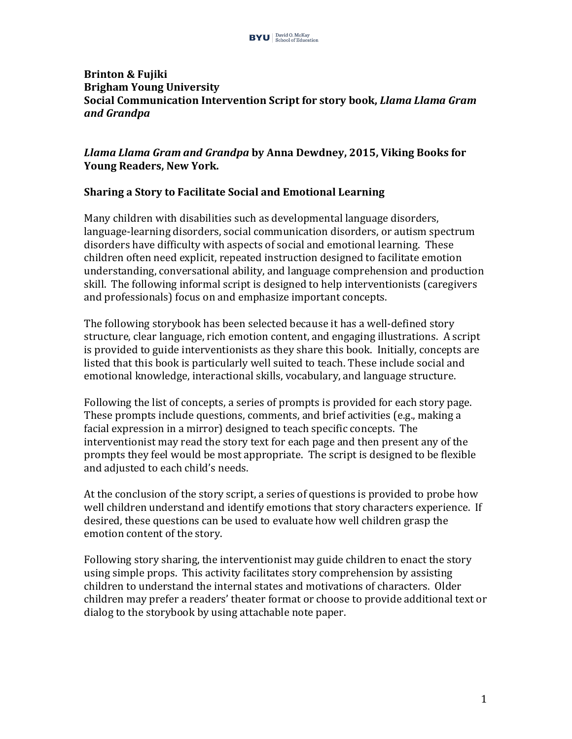#### **Brinton & Fujiki Brigham Young University Social Communication Intervention Script for story book,** *Llama Llama Gram and Grandpa*

### *Llama Llama Gram and Grandpa* **by Anna Dewdney, 2015, Viking Books for Young Readers, New York.**

### **Sharing a Story to Facilitate Social and Emotional Learning**

Many children with disabilities such as developmental language disorders, language-learning disorders, social communication disorders, or autism spectrum disorders have difficulty with aspects of social and emotional learning. These children often need explicit, repeated instruction designed to facilitate emotion understanding, conversational ability, and language comprehension and production skill. The following informal script is designed to help interventionists (caregivers and professionals) focus on and emphasize important concepts.

The following storybook has been selected because it has a well-defined story structure, clear language, rich emotion content, and engaging illustrations. A script is provided to guide interventionists as they share this book. Initially, concepts are listed that this book is particularly well suited to teach. These include social and emotional knowledge, interactional skills, vocabulary, and language structure.

Following the list of concepts, a series of prompts is provided for each story page. These prompts include questions, comments, and brief activities (e.g., making a facial expression in a mirror) designed to teach specific concepts. The interventionist may read the story text for each page and then present any of the prompts they feel would be most appropriate. The script is designed to be flexible and adjusted to each child's needs.

At the conclusion of the story script, a series of questions is provided to probe how well children understand and identify emotions that story characters experience. If desired, these questions can be used to evaluate how well children grasp the emotion content of the story.

Following story sharing, the interventionist may guide children to enact the story using simple props. This activity facilitates story comprehension by assisting children to understand the internal states and motivations of characters. Older children may prefer a readers' theater format or choose to provide additional text or dialog to the storybook by using attachable note paper.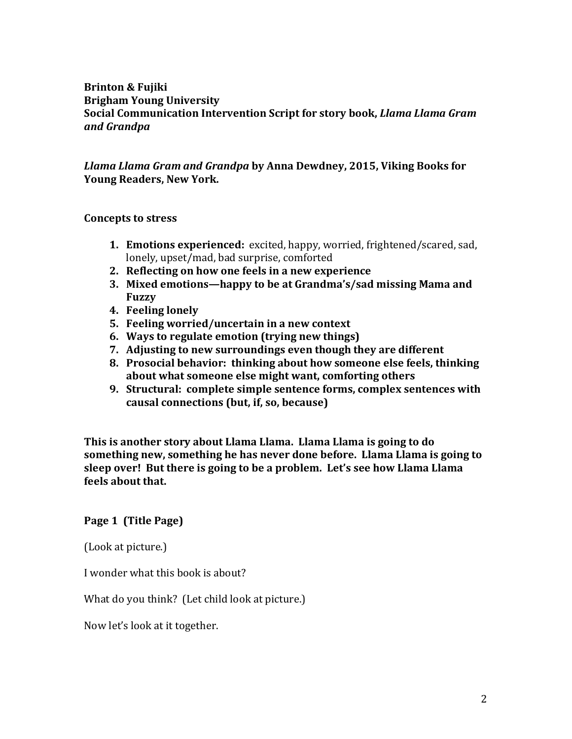#### **Brinton & Fujiki Brigham Young University Social Communication Intervention Script for story book,** *Llama Llama Gram and Grandpa*

#### *Llama Llama Gram and Grandpa* **by Anna Dewdney, 2015, Viking Books for Young Readers, New York.**

#### **Concepts to stress**

- **1. Emotions experienced:** excited, happy, worried, frightened/scared, sad, lonely, upset/mad, bad surprise, comforted
- **2.** Reflecting on how one feels in a new experience
- **3. Mixed emotions—happy to be at Grandma's/sad missing Mama and Fuzzy**
- **4. Feeling lonely**
- **5.** Feeling worried/uncertain in a new context
- **6.** Ways to regulate emotion (trying new things)
- **7.** Adjusting to new surroundings even though they are different
- **8. Prosocial behavior: thinking about how someone else feels, thinking** about what someone else might want, comforting others
- **9. Structural: complete simple sentence forms, complex sentences with** causal connections (but, if, so, because)

**This is another story about Llama Llama. Llama Llama is going to do something new, something he has never done before. Llama Llama is going to** sleep over! But there is going to be a problem. Let's see how Llama Llama **feels about that.**

#### **Page 1 (Title Page)**

(Look at picture.)

I wonder what this book is about?

What do you think? (Let child look at picture.)

Now let's look at it together.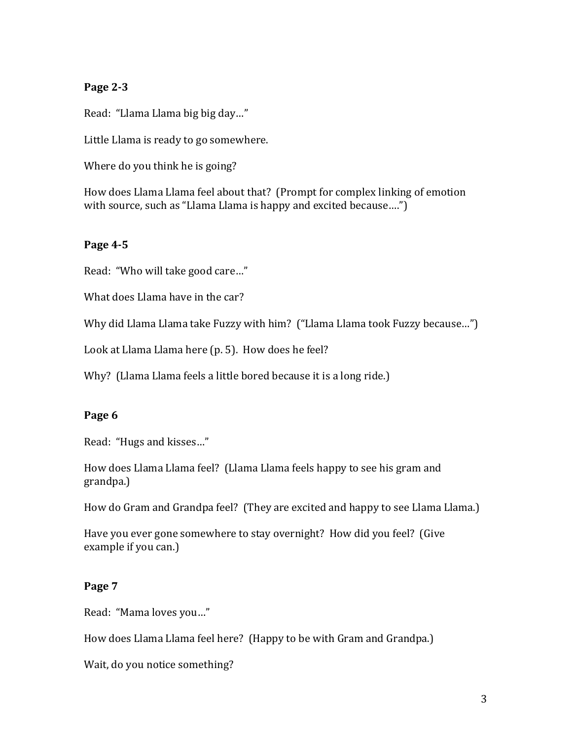# **Page 2-3**

Read: "Llama Llama big big day..."

Little Llama is ready to go somewhere.

Where do you think he is going?

How does Llama Llama feel about that? (Prompt for complex linking of emotion with source, such as "Llama Llama is happy and excited because....")

#### **Page 4-5**

Read: "Who will take good care..."

What does Llama have in the car?

Why did Llama Llama take Fuzzy with him? ("Llama Llama took Fuzzy because...")

Look at Llama Llama here (p. 5). How does he feel?

Why? (Llama Llama feels a little bored because it is a long ride.)

#### Page 6

Read: "Hugs and kisses..."

How does Llama Llama feel? (Llama Llama feels happy to see his gram and grandpa.)

How do Gram and Grandpa feel? (They are excited and happy to see Llama Llama.)

Have you ever gone somewhere to stay overnight? How did you feel? (Give example if you can.)

#### **Page 7**

Read: "Mama loves you..."

How does Llama Llama feel here? (Happy to be with Gram and Grandpa.)

Wait, do you notice something?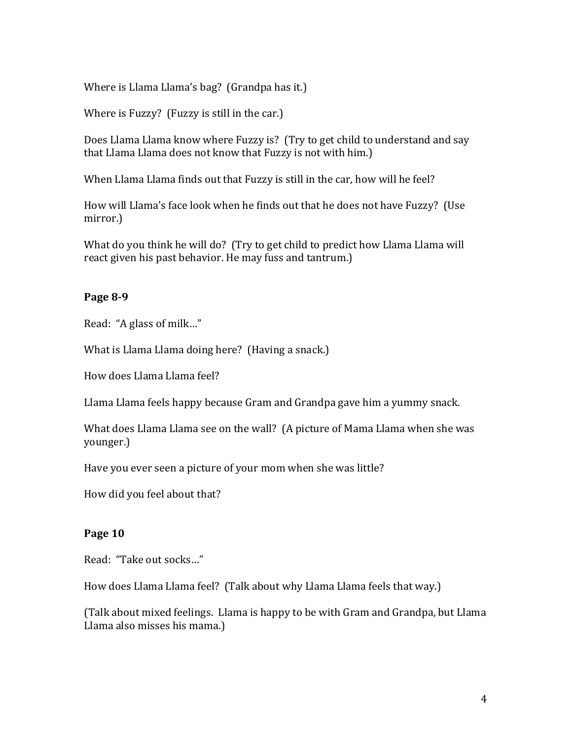Where is Llama Llama's bag? (Grandpa has it.)

Where is Fuzzy? (Fuzzy is still in the car.)

Does Llama Llama know where Fuzzy is? (Try to get child to understand and say that Llama Llama does not know that Fuzzy is not with him.)

When Llama Llama finds out that Fuzzy is still in the car, how will he feel?

How will Llama's face look when he finds out that he does not have Fuzzy? (Use mirror.)

What do you think he will do? (Try to get child to predict how Llama Llama will react given his past behavior. He may fuss and tantrum.)

### **Page 8-9**

Read: "A glass of milk..."

What is Llama Llama doing here? (Having a snack.)

How does Llama Llama feel?

Llama Llama feels happy because Gram and Grandpa gave him a yummy snack.

What does Llama Llama see on the wall? (A picture of Mama Llama when she was younger.)

Have you ever seen a picture of your mom when she was little?

How did you feel about that?

# **Page 10**

Read: "Take out socks..."

How does Llama Llama feel? (Talk about why Llama Llama feels that way.)

(Talk about mixed feelings. Llama is happy to be with Gram and Grandpa, but Llama Llama also misses his mama.)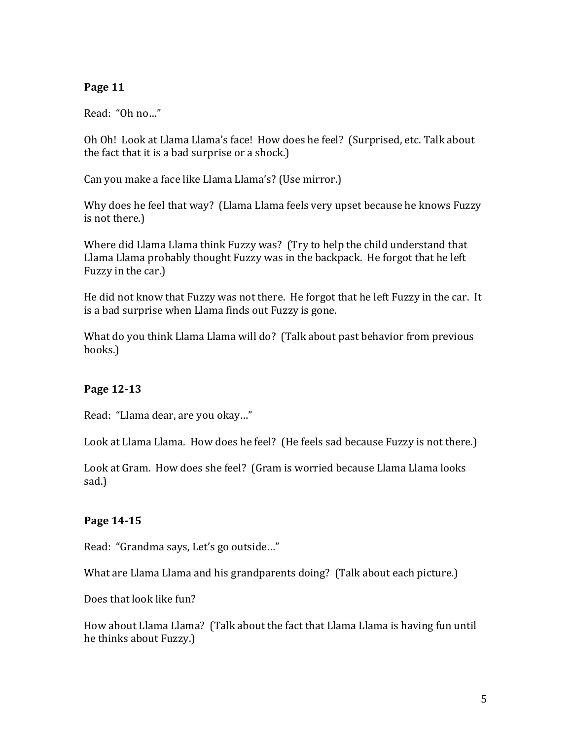# **Page 11**

Read: "Oh no..."

Oh Oh! Look at Llama Llama's face! How does he feel? (Surprised, etc. Talk about the fact that it is a bad surprise or a shock.)

Can you make a face like Llama Llama's? (Use mirror.)

Why does he feel that way? (Llama Llama feels very upset because he knows Fuzzy is not there.)

Where did Llama Llama think Fuzzy was? (Try to help the child understand that Llama Llama probably thought Fuzzy was in the backpack. He forgot that he left Fuzzy in the car.)

He did not know that Fuzzy was not there. He forgot that he left Fuzzy in the car. It is a bad surprise when Llama finds out Fuzzy is gone.

What do you think Llama Llama will do? (Talk about past behavior from previous books.)

# **Page 12-13**

Read: "Llama dear, are you okay..."

Look at Llama Llama. How does he feel? (He feels sad because Fuzzy is not there.)

Look at Gram. How does she feel? (Gram is worried because Llama Llama looks sad.)

# **Page 14-15**

Read: "Grandma says, Let's go outside..."

What are Llama Llama and his grandparents doing? (Talk about each picture.)

Does that look like fun?

How about Llama Llama? (Talk about the fact that Llama Llama is having fun until he thinks about Fuzzy.)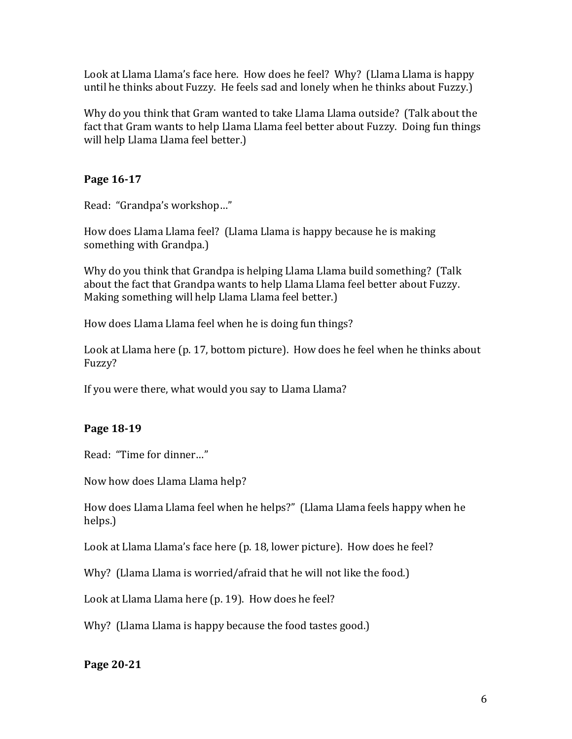Look at Llama Llama's face here. How does he feel? Why? (Llama Llama is happy until he thinks about Fuzzy. He feels sad and lonely when he thinks about Fuzzy.)

Why do you think that Gram wanted to take Llama Llama outside? (Talk about the fact that Gram wants to help Llama Llama feel better about Fuzzy. Doing fun things will help Llama Llama feel better.)

# **Page 16-17**

Read: "Grandpa's workshop..."

How does Llama Llama feel? (Llama Llama is happy because he is making something with Grandpa.)

Why do you think that Grandpa is helping Llama Llama build something? (Talk about the fact that Grandpa wants to help Llama Llama feel better about Fuzzy. Making something will help Llama Llama feel better.)

How does Llama Llama feel when he is doing fun things?

Look at Llama here (p. 17, bottom picture). How does he feel when he thinks about Fuzzy?

If you were there, what would you say to Llama Llama?

# **Page 18-19**

Read: "Time for dinner..."

Now how does Llama Llama help?

How does Llama Llama feel when he helps?" (Llama Llama feels happy when he helps.)

Look at Llama Llama's face here (p. 18, lower picture). How does he feel?

Why? (Llama Llama is worried/afraid that he will not like the food.)

Look at Llama Llama here (p. 19). How does he feel?

Why? (Llama Llama is happy because the food tastes good.)

# **Page 20-21**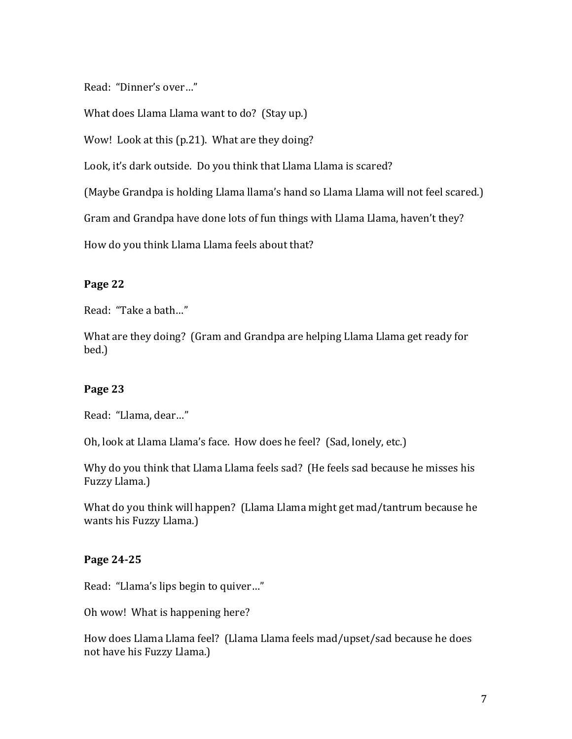Read: "Dinner's over..."

What does Llama Llama want to do? (Stay up.)

Wow! Look at this (p.21). What are they doing?

Look, it's dark outside. Do you think that Llama Llama is scared?

(Maybe Grandpa is holding Llama llama's hand so Llama Llama will not feel scared.)

Gram and Grandpa have done lots of fun things with Llama Llama, haven't they?

How do you think Llama Llama feels about that?

#### **Page 22**

Read: "Take a bath..."

What are they doing? (Gram and Grandpa are helping Llama Llama get ready for bed.)

#### **Page 23**

Read: "Llama, dear..."

Oh, look at Llama Llama's face. How does he feel? (Sad, lonely, etc.)

Why do you think that Llama Llama feels sad? (He feels sad because he misses his Fuzzy Llama.)

What do you think will happen? (Llama Llama might get mad/tantrum because he wants his Fuzzy Llama.)

#### **Page 24-25**

Read: "Llama's lips begin to quiver..."

Oh wow! What is happening here?

How does Llama Llama feel? (Llama Llama feels mad/upset/sad because he does not have his Fuzzy Llama.)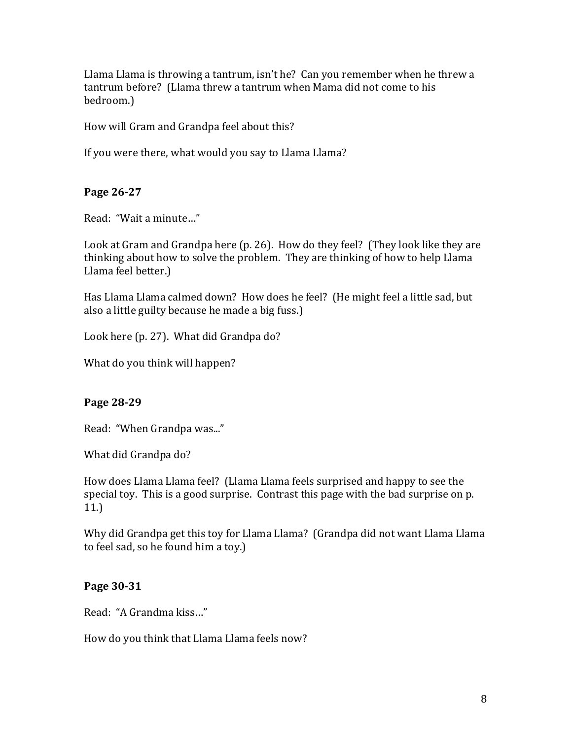Llama Llama is throwing a tantrum, isn't he? Can you remember when he threw a tantrum before? (Llama threw a tantrum when Mama did not come to his bedroom.)

How will Gram and Grandpa feel about this?

If you were there, what would you say to Llama Llama?

# **Page 26-27**

Read: "Wait a minute..."

Look at Gram and Grandpa here (p. 26). How do they feel? (They look like they are thinking about how to solve the problem. They are thinking of how to help Llama Llama feel better.)

Has Llama Llama calmed down? How does he feel? (He might feel a little sad, but also a little guilty because he made a big fuss.)

Look here (p. 27). What did Grandpa do?

What do you think will happen?

# **Page 28-29**

Read: "When Grandpa was..."

What did Grandpa do?

How does Llama Llama feel? (Llama Llama feels surprised and happy to see the special toy. This is a good surprise. Contrast this page with the bad surprise on p. 11.)

Why did Grandpa get this toy for Llama Llama? (Grandpa did not want Llama Llama to feel sad, so he found him a toy.)

# **Page 30-31**

Read: "A Grandma kiss…"

How do you think that Llama Llama feels now?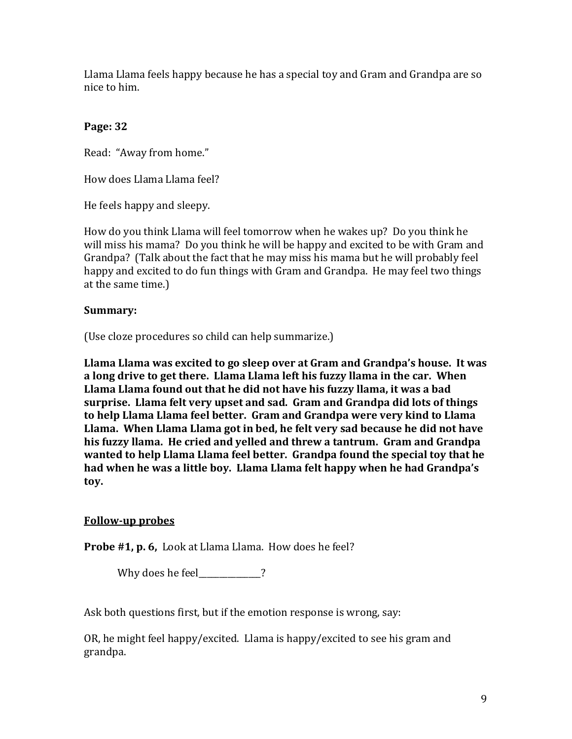Llama Llama feels happy because he has a special toy and Gram and Grandpa are so nice to him.

# **Page: 32**

Read: "Away from home."

How does Llama Llama feel?

He feels happy and sleepy.

How do you think Llama will feel tomorrow when he wakes up? Do you think he will miss his mama? Do you think he will be happy and excited to be with Gram and Grandpa? (Talk about the fact that he may miss his mama but he will probably feel happy and excited to do fun things with Gram and Grandpa. He may feel two things at the same time.)

### **Summary:**

(Use cloze procedures so child can help summarize.)

Llama Llama was excited to go sleep over at Gram and Grandpa's house. It was **a** long drive to get there. Llama Llama left his fuzzy llama in the car. When Llama Llama found out that he did not have his fuzzy llama, it was a bad surprise. Llama felt very upset and sad. Gram and Grandpa did lots of things to help Llama Llama feel better. Gram and Grandpa were very kind to Llama Llama. When Llama Llama got in bed, he felt very sad because he did not have his fuzzy llama. He cried and yelled and threw a tantrum. Gram and Grandpa **wanted to help Llama Llama feel better. Grandpa found the special toy that he** had when he was a little boy. Llama Llama felt happy when he had Grandpa's **toy.**

# **Follow-up probes**

**Probe #1, p. 6,** Look at Llama Llama. How does he feel?

Why does he feel\_\_\_\_\_\_\_\_\_\_?

Ask both questions first, but if the emotion response is wrong, say:

OR, he might feel happy/excited. Llama is happy/excited to see his gram and grandpa.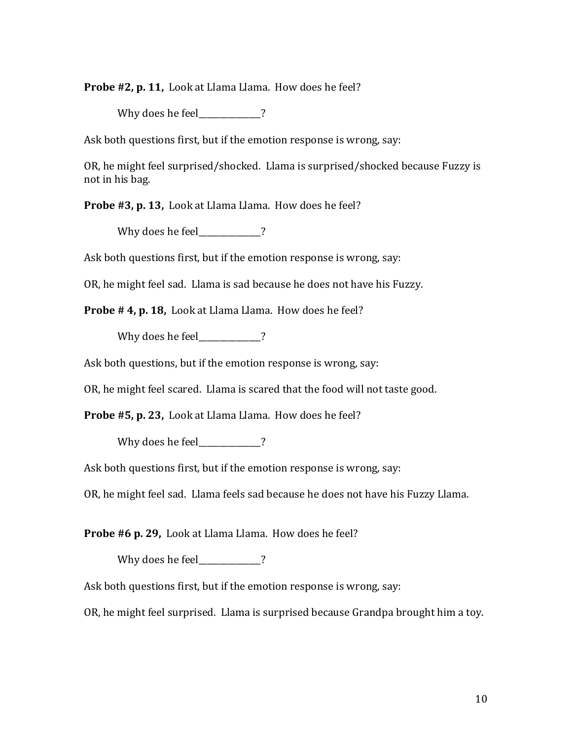**Probe #2, p. 11,** Look at Llama Llama. How does he feel?

Why does he feel  $\overline{\phantom{a}}$  ?

Ask both questions first, but if the emotion response is wrong, say:

OR, he might feel surprised/shocked. Llama is surprised/shocked because Fuzzy is not in his bag.

**Probe #3, p. 13,** Look at Llama Llama. How does he feel?

Why does he feel  $\overline{\phantom{a}}$  ?

Ask both questions first, but if the emotion response is wrong, say:

OR, he might feel sad. Llama is sad because he does not have his Fuzzy.

**Probe # 4, p. 18,** Look at Llama Llama. How does he feel?

Why does he feel\_\_\_\_\_\_\_\_\_\_\_?

Ask both questions, but if the emotion response is wrong, say:

OR, he might feel scared. Llama is scared that the food will not taste good.

**Probe #5, p. 23, Look at Llama Llama. How does he feel?** 

Why does he feel\_\_\_\_\_\_\_\_\_\_\_?

Ask both questions first, but if the emotion response is wrong, say:

OR, he might feel sad. Llama feels sad because he does not have his Fuzzy Llama.

**Probe #6 p. 29, Look at Llama Llama. How does he feel?** 

Why does he feel 2

Ask both questions first, but if the emotion response is wrong, say:

OR, he might feel surprised. Llama is surprised because Grandpa brought him a toy.